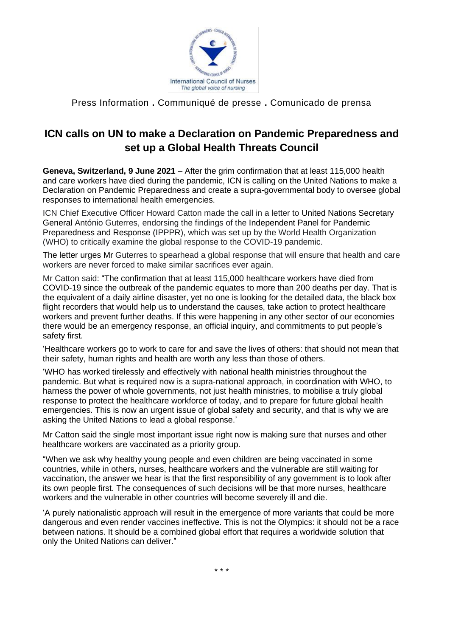

## Press Information **.** Communiqué de presse **.** Comunicado de prensa

## **ICN calls on UN to make a Declaration on Pandemic Preparedness and set up a Global Health Threats Council**

**Geneva, Switzerland, 9 June 2021** – After the grim confirmation that at least 115,000 health and care workers have died during the pandemic, ICN is calling on the United Nations to make a Declaration on Pandemic Preparedness and create a supra-governmental body to oversee global responses to international health emergencies.

ICN Chief Executive Officer Howard Catton made the call in a letter to United Nations Secretary General António Guterres, endorsing the findings of the Independent Panel for Pandemic Preparedness and Response (IPPPR), which was set up by the World Health Organization (WHO) to critically examine the global response to the COVID-19 pandemic.

The letter urges Mr Guterres to spearhead a global response that will ensure that health and care workers are never forced to make similar sacrifices ever again.

Mr Catton said: "The confirmation that at least 115,000 healthcare workers have died from COVID-19 since the outbreak of the pandemic equates to more than 200 deaths per day. That is the equivalent of a daily airline disaster, yet no one is looking for the detailed data, the black box flight recorders that would help us to understand the causes, take action to protect healthcare workers and prevent further deaths. If this were happening in any other sector of our economies there would be an emergency response, an official inquiry, and commitments to put people's safety first.

'Healthcare workers go to work to care for and save the lives of others: that should not mean that their safety, human rights and health are worth any less than those of others.

'WHO has worked tirelessly and effectively with national health ministries throughout the pandemic. But what is required now is a supra-national approach, in coordination with WHO, to harness the power of whole governments, not just health ministries, to mobilise a truly global response to protect the healthcare workforce of today, and to prepare for future global health emergencies. This is now an urgent issue of global safety and security, and that is why we are asking the United Nations to lead a global response.'

Mr Catton said the single most important issue right now is making sure that nurses and other healthcare workers are vaccinated as a priority group.

"When we ask why healthy young people and even children are being vaccinated in some countries, while in others, nurses, healthcare workers and the vulnerable are still waiting for vaccination, the answer we hear is that the first responsibility of any government is to look after its own people first. The consequences of such decisions will be that more nurses, healthcare workers and the vulnerable in other countries will become severely ill and die.

'A purely nationalistic approach will result in the emergence of more variants that could be more dangerous and even render vaccines ineffective. This is not the Olympics: it should not be a race between nations. It should be a combined global effort that requires a worldwide solution that only the United Nations can deliver."

\* \* \*